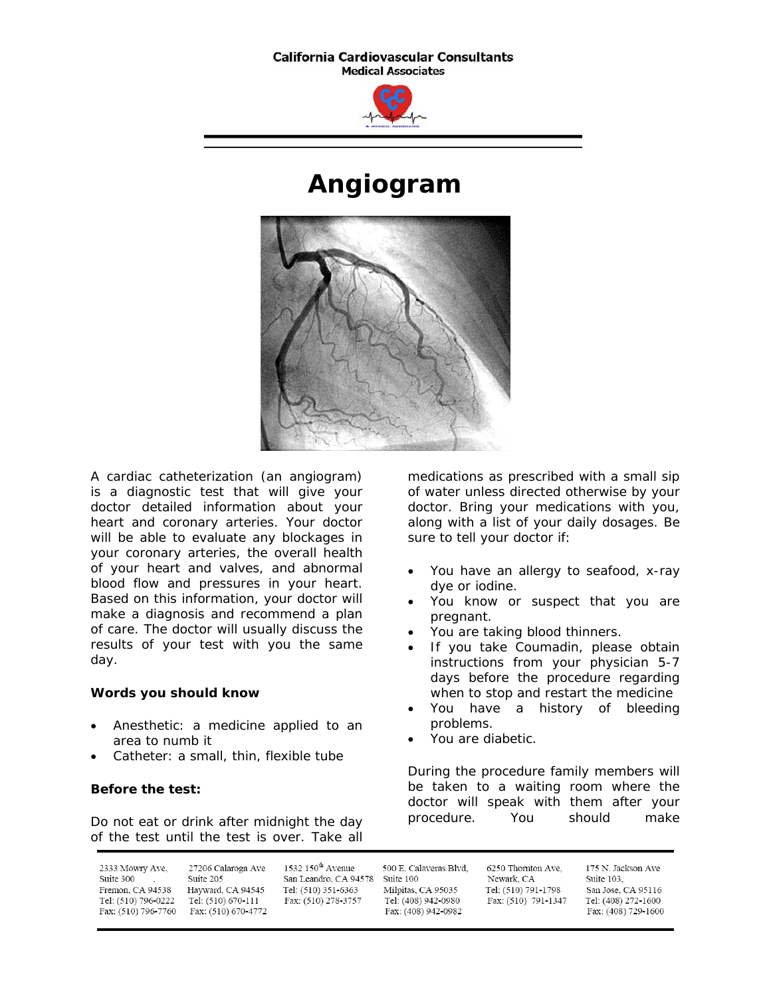#### **California Cardiovascular Consultants Medical Associates**



# **Angiogram**



A cardiac catheterization (an angiogram) is a diagnostic test that will give your doctor detailed information about your heart and coronary arteries. Your doctor will be able to evaluate any blockages in your coronary arteries, the overall health of your heart and valves, and abnormal blood flow and pressures in your heart. Based on this information, your doctor will make a diagnosis and recommend a plan of care. The doctor will usually discuss the results of your test with you the same day.

## **Words you should know**

- Anesthetic: a medicine applied to an area to numb it
- Catheter: a small, thin, flexible tube

## **Before the test:**

Do not eat or drink after midnight the day of the test until the test is over. Take all

medications as prescribed with a small sip of water unless directed otherwise by your doctor. Bring your medications with you, along with a list of your daily dosages. Be sure to tell your doctor if:

- You have an allergy to seafood, x-ray dye or iodine.
- You know or suspect that you are pregnant.
- You are taking blood thinners.
- If you take Coumadin, please obtain instructions from your physician 5-7 days before the procedure regarding when to stop and restart the medicine
- You have a history of bleeding problems.
- You are diabetic.

During the procedure family members will be taken to a waiting room where the doctor will speak with them after your procedure. You should make

| 2333 Mowry Ave,     | 27206 Calaroga Ave  | $1532\ 150^{\text{th}}$ Avenue | 500 E. Calaveras Blvd. | 6250 Thornton Ave.  | 175 N. Jackson Ave  |
|---------------------|---------------------|--------------------------------|------------------------|---------------------|---------------------|
| Suite 300           | Suite 205           | San Leandro, CA 94578          | Suite 100              | Newark, CA          | Suite 103.          |
| Fremon, CA 94538    | Hayward, CA 94545   | Tel: (510) 351-6363            | Milpitas, CA 95035     | Tel: (510) 791-1798 | San Jose, CA 95116  |
| Tel: (510) 796-0222 | Tel: (510) 670-111  | Fax: (510) 278-3757            | Tel: (408) 942-0980    | Fax: (510) 791-1347 | Tel: (408) 272-1600 |
| Fax: (510) 796-7760 | Fax: (510) 670-4772 |                                | Fax: (408) 942-0982    |                     | Fax: (408) 729-1600 |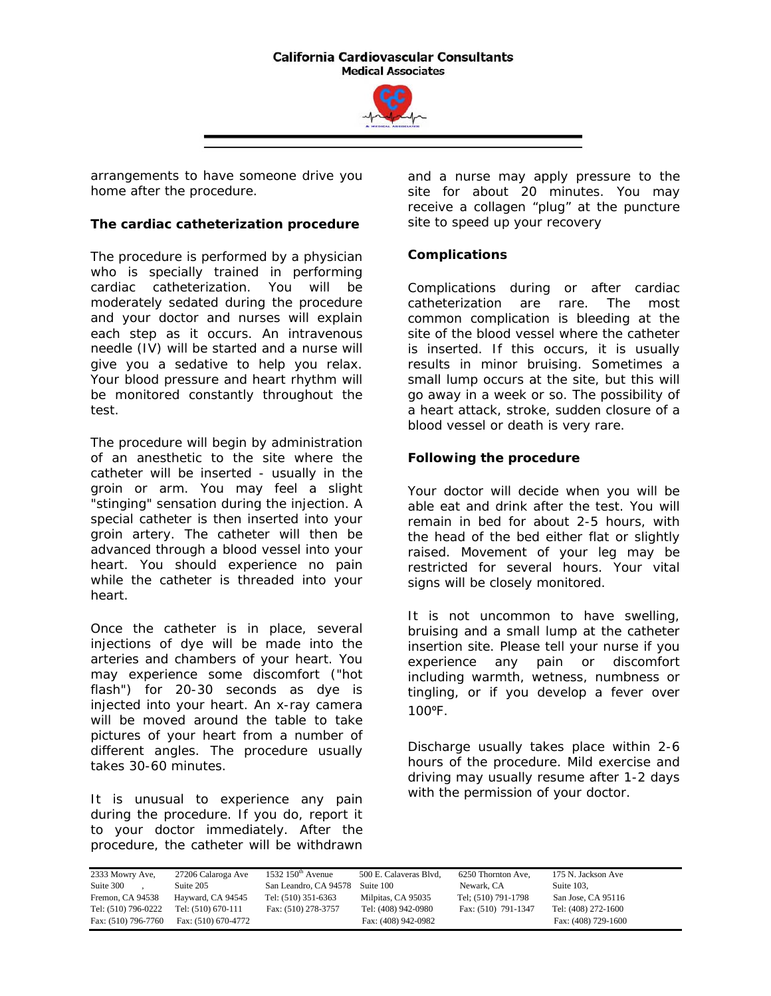#### **California Cardiovascular Consultants Medical Associates**



arrangements to have someone drive you home after the procedure.

## **The cardiac catheterization procedure**

The procedure is performed by a physician who is specially trained in performing cardiac catheterization. You will be moderately sedated during the procedure and your doctor and nurses will explain each step as it occurs. An intravenous needle (IV) will be started and a nurse will give you a sedative to help you relax. Your blood pressure and heart rhythm will be monitored constantly throughout the test.

The procedure will begin by administration of an anesthetic to the site where the catheter will be inserted - usually in the groin or arm. You may feel a slight "stinging" sensation during the injection. A special catheter is then inserted into your groin artery. The catheter will then be advanced through a blood vessel into your heart. You should experience no pain while the catheter is threaded into your heart.

Once the catheter is in place, several injections of dye will be made into the arteries and chambers of your heart. You may experience some discomfort ("hot flash") for 20-30 seconds as dye is injected into your heart. An x-ray camera will be moved around the table to take pictures of your heart from a number of different angles. The procedure usually takes 30-60 minutes.

It is unusual to experience any pain during the procedure. If you do, report it to your doctor immediately. After the procedure, the catheter will be withdrawn

and a nurse may apply pressure to the site for about 20 minutes. You may receive a collagen "plug" at the puncture site to speed up your recovery

# **Complications**

Complications during or after cardiac catheterization are rare. The most common complication is bleeding at the site of the blood vessel where the catheter is inserted. If this occurs, it is usually results in minor bruising. Sometimes a small lump occurs at the site, but this will go away in a week or so. The possibility of a heart attack, stroke, sudden closure of a blood vessel or death is very rare.

# **Following the procedure**

Your doctor will decide when you will be able eat and drink after the test. You will remain in bed for about 2-5 hours, with the head of the bed either flat or slightly raised. Movement of your leg may be restricted for several hours. Your vital signs will be closely monitored.

It is not uncommon to have swelling, bruising and a small lump at the catheter insertion site. Please tell your nurse if you experience any pain or discomfort including warmth, wetness, numbness or tingling, or if you develop a fever over 100ºF.

Discharge usually takes place within 2-6 hours of the procedure. Mild exercise and driving may usually resume after 1-2 days with the permission of your doctor.

| 2333 Mowry Ave,     | 27206 Calaroga Ave  | 1532 $150th$ Avenue   | 500 E. Calaveras Blvd, | 6250 Thornton Ave,  | 175 N. Jackson Ave  |
|---------------------|---------------------|-----------------------|------------------------|---------------------|---------------------|
| Suite 300           | Suite 205           | San Leandro, CA 94578 | Suite 100              | Newark, CA          | Suite 103.          |
| Fremon. CA 94538    | Hayward, CA 94545   | Tel: (510) 351-6363   | Milpitas, CA 95035     | Tel; (510) 791-1798 | San Jose, CA 95116  |
| Tel: (510) 796-0222 | Tel: (510) 670-111  | Fax: (510) 278-3757   | Tel: (408) 942-0980    | Fax: (510) 791-1347 | Tel: (408) 272-1600 |
| Fax: (510) 796-7760 | Fax: (510) 670-4772 |                       | Fax: (408) 942-0982    |                     | Fax: (408) 729-1600 |